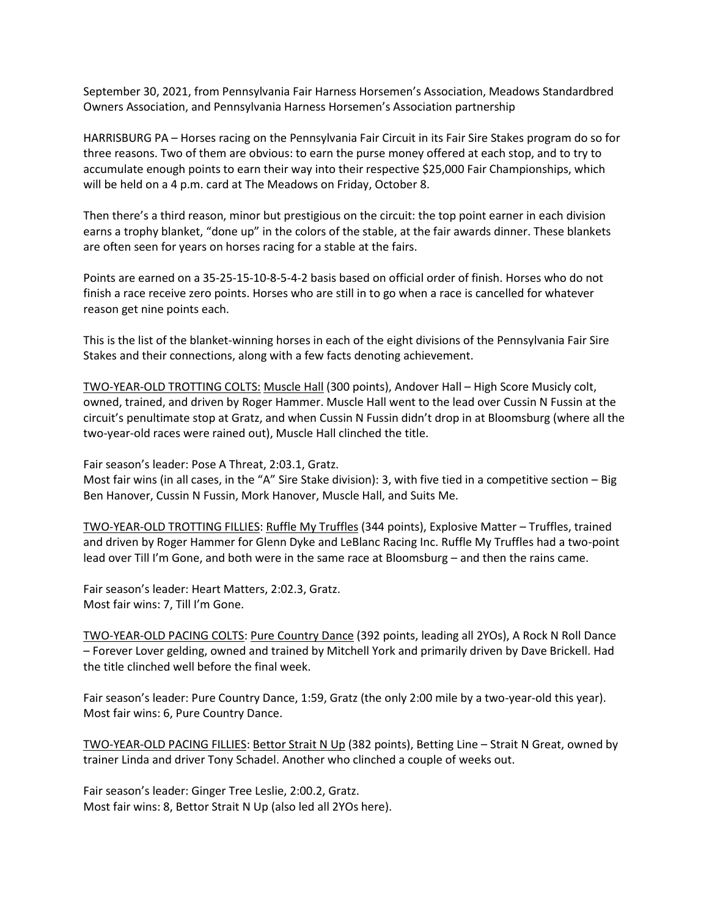September 30, 2021, from Pennsylvania Fair Harness Horsemen's Association, Meadows Standardbred Owners Association, and Pennsylvania Harness Horsemen's Association partnership

HARRISBURG PA – Horses racing on the Pennsylvania Fair Circuit in its Fair Sire Stakes program do so for three reasons. Two of them are obvious: to earn the purse money offered at each stop, and to try to accumulate enough points to earn their way into their respective \$25,000 Fair Championships, which will be held on a 4 p.m. card at The Meadows on Friday, October 8.

Then there's a third reason, minor but prestigious on the circuit: the top point earner in each division earns a trophy blanket, "done up" in the colors of the stable, at the fair awards dinner. These blankets are often seen for years on horses racing for a stable at the fairs.

Points are earned on a 35-25-15-10-8-5-4-2 basis based on official order of finish. Horses who do not finish a race receive zero points. Horses who are still in to go when a race is cancelled for whatever reason get nine points each.

This is the list of the blanket-winning horses in each of the eight divisions of the Pennsylvania Fair Sire Stakes and their connections, along with a few facts denoting achievement.

TWO-YEAR-OLD TROTTING COLTS: Muscle Hall (300 points), Andover Hall – High Score Musicly colt, owned, trained, and driven by Roger Hammer. Muscle Hall went to the lead over Cussin N Fussin at the circuit's penultimate stop at Gratz, and when Cussin N Fussin didn't drop in at Bloomsburg (where all the two-year-old races were rained out), Muscle Hall clinched the title.

Fair season's leader: Pose A Threat, 2:03.1, Gratz.

Most fair wins (in all cases, in the "A" Sire Stake division): 3, with five tied in a competitive section – Big Ben Hanover, Cussin N Fussin, Mork Hanover, Muscle Hall, and Suits Me.

TWO-YEAR-OLD TROTTING FILLIES: Ruffle My Truffles (344 points), Explosive Matter – Truffles, trained and driven by Roger Hammer for Glenn Dyke and LeBlanc Racing Inc. Ruffle My Truffles had a two-point lead over Till I'm Gone, and both were in the same race at Bloomsburg – and then the rains came.

Fair season's leader: Heart Matters, 2:02.3, Gratz. Most fair wins: 7, Till I'm Gone.

TWO-YEAR-OLD PACING COLTS: Pure Country Dance (392 points, leading all 2YOs), A Rock N Roll Dance – Forever Lover gelding, owned and trained by Mitchell York and primarily driven by Dave Brickell. Had the title clinched well before the final week.

Fair season's leader: Pure Country Dance, 1:59, Gratz (the only 2:00 mile by a two-year-old this year). Most fair wins: 6, Pure Country Dance.

TWO-YEAR-OLD PACING FILLIES: Bettor Strait N Up (382 points), Betting Line – Strait N Great, owned by trainer Linda and driver Tony Schadel. Another who clinched a couple of weeks out.

Fair season's leader: Ginger Tree Leslie, 2:00.2, Gratz. Most fair wins: 8, Bettor Strait N Up (also led all 2YOs here).